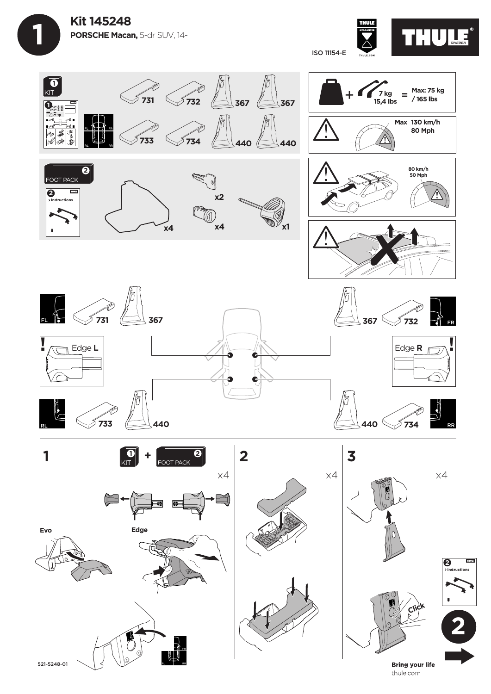

ISO 11154-E